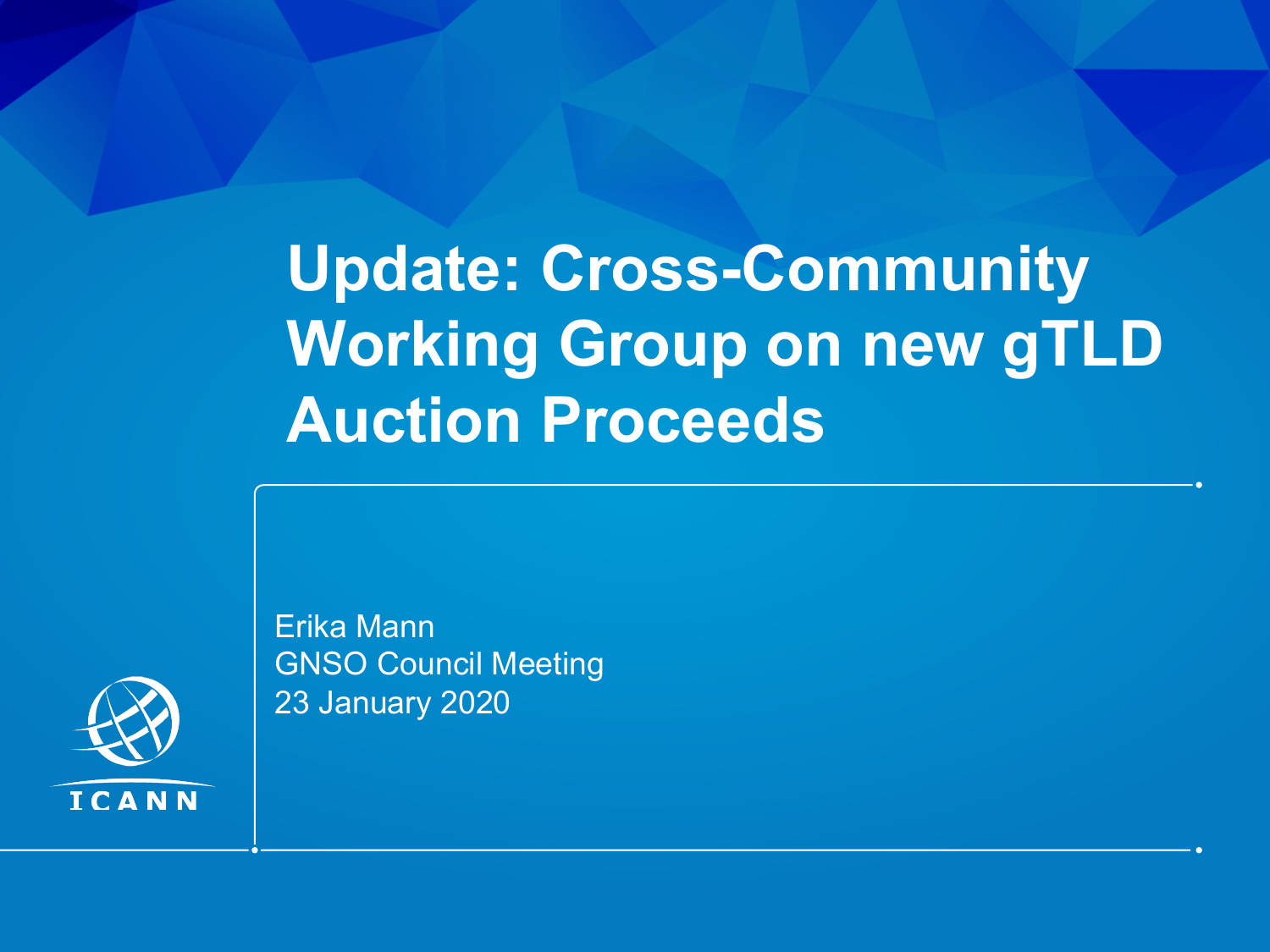# **Update: Cross-Community Working Group on new gTLD Auction Proceeds**

Erika Mann GNSO Council Meeting 23 January 2020

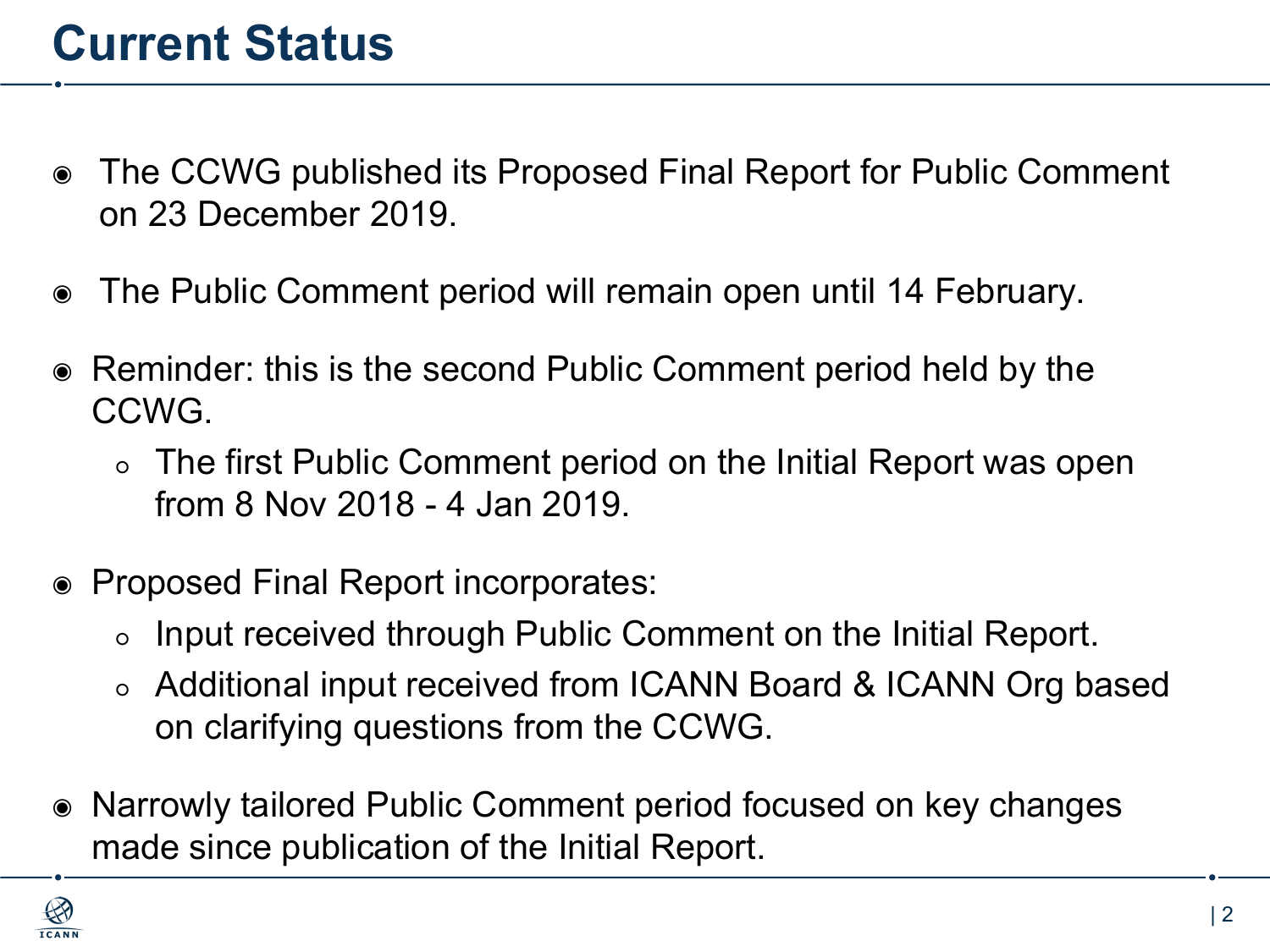#### **Current Status**

- ◉ The CCWG published its Proposed Final Report for Public Comment on 23 December 2019.
- ◉ The Public Comment period will remain open until 14 February.
- Reminder: this is the second Public Comment period held by the CCWG.
	- The first Public Comment period on the Initial Report was open from 8 Nov 2018 - 4 Jan 2019.
- ◉ Proposed Final Report incorporates:
	- Input received through Public Comment on the Initial Report.
	- Additional input received from ICANN Board & ICANN Org based on clarifying questions from the CCWG.
- ◉ Narrowly tailored Public Comment period focused on key changes made since publication of the Initial Report.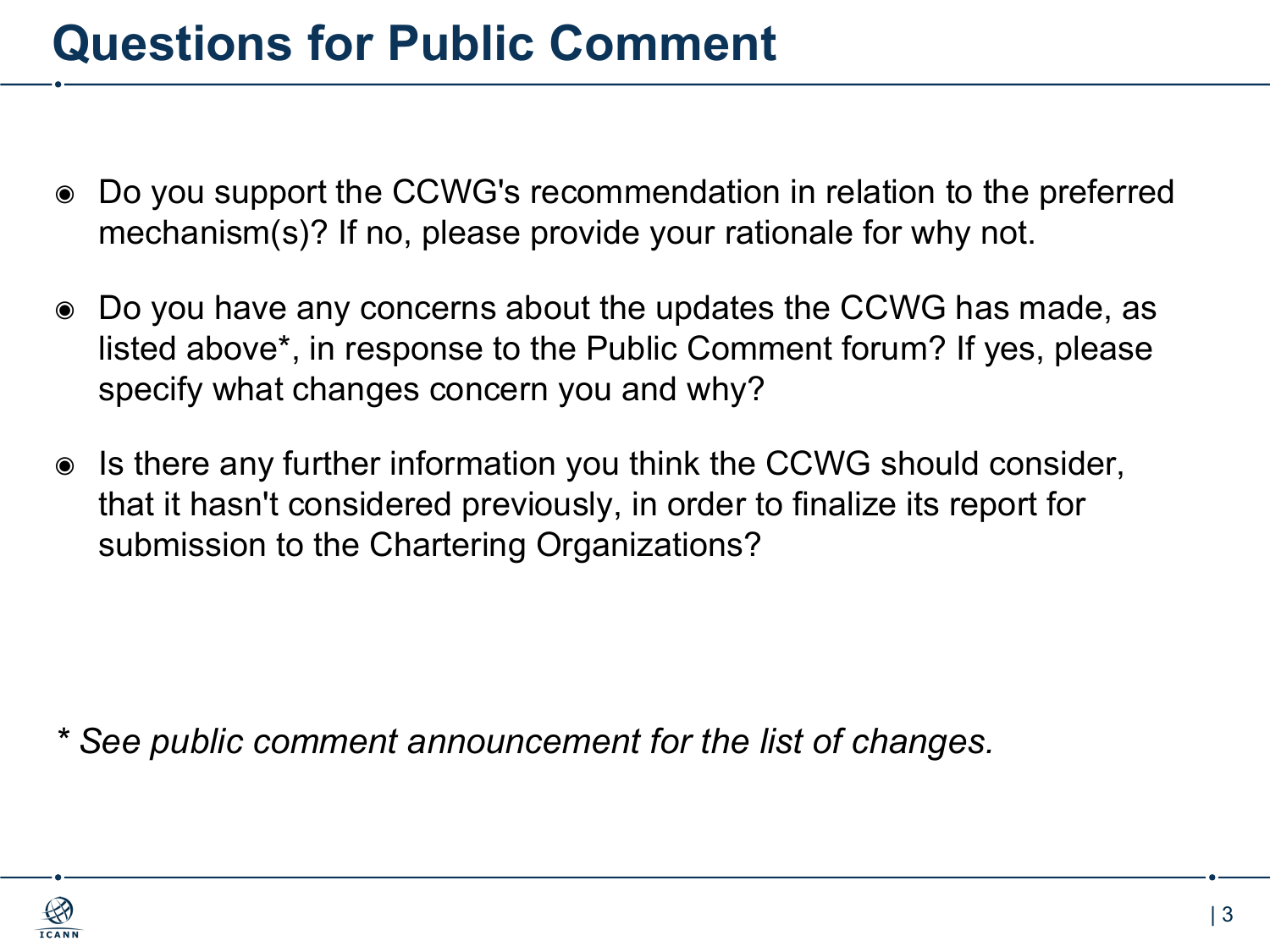#### **Questions for Public Comment**

- ◉ Do you support the CCWG's recommendation in relation to the preferred mechanism(s)? If no, please provide your rationale for why not.
- ◉ Do you have any concerns about the updates the CCWG has made, as listed above\*, in response to the Public Comment forum? If yes, please specify what changes concern you and why?
- ◉ Is there any further information you think the CCWG should consider, that it hasn't considered previously, in order to finalize its report for submission to the Chartering Organizations?

*\* See public comment announcement for the list of changes.*

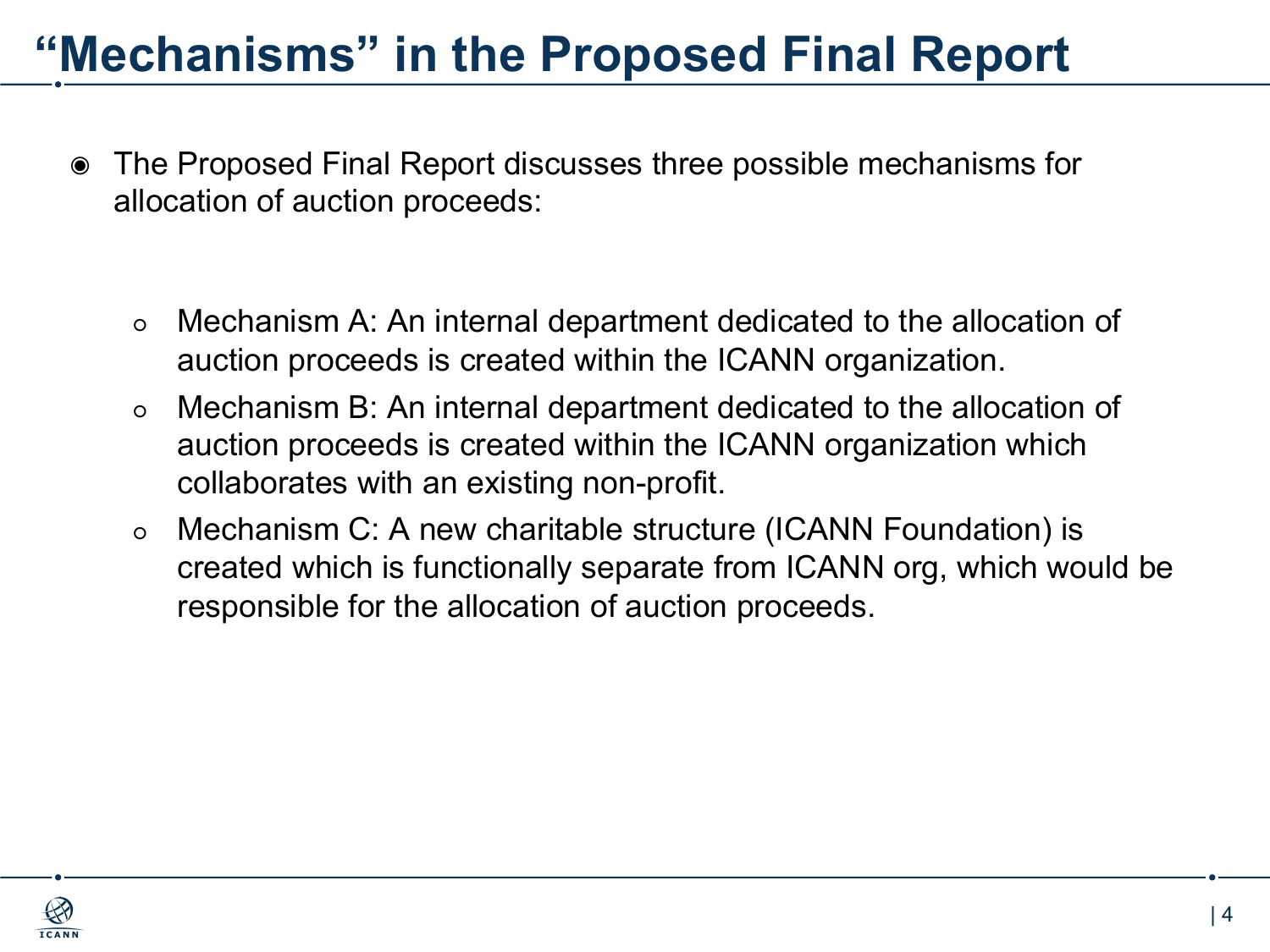### **"Mechanisms" in the Proposed Final Report**

- ◉ The Proposed Final Report discusses three possible mechanisms for allocation of auction proceeds:
	- Mechanism A: An internal department dedicated to the allocation of auction proceeds is created within the ICANN organization.
	- Mechanism B: An internal department dedicated to the allocation of auction proceeds is created within the ICANN organization which collaborates with an existing non-profit.
	- Mechanism C: A new charitable structure (ICANN Foundation) is created which is functionally separate from ICANN org, which would be responsible for the allocation of auction proceeds.

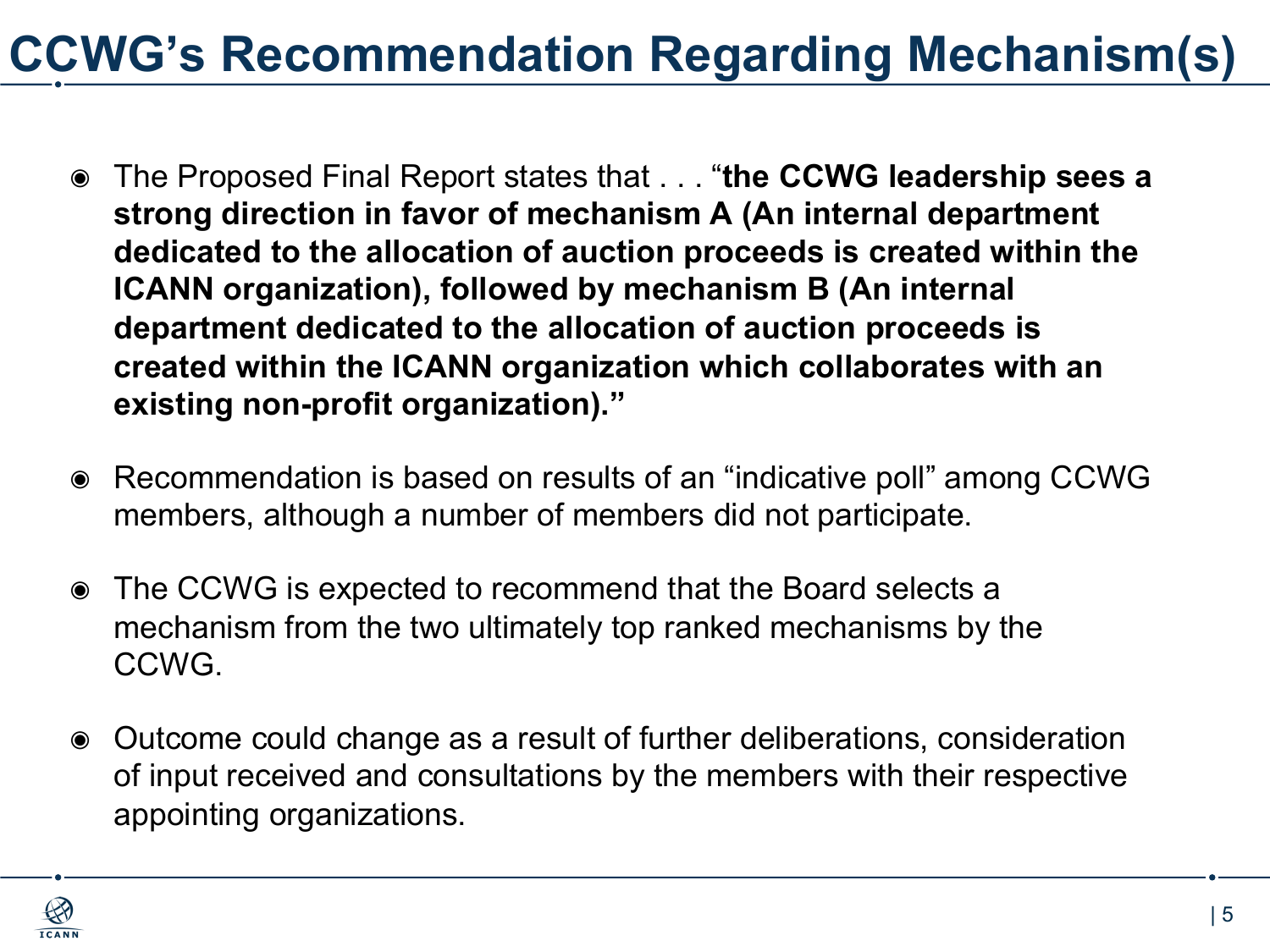## **CCWG's Recommendation Regarding Mechanism(s)**

- ◉ The Proposed Final Report states that . . . "**the CCWG leadership sees a strong direction in favor of mechanism A (An internal department dedicated to the allocation of auction proceeds is created within the ICANN organization), followed by mechanism B (An internal department dedicated to the allocation of auction proceeds is created within the ICANN organization which collaborates with an existing non-profit organization)."**
- ◉ Recommendation is based on results of an "indicative poll" among CCWG members, although a number of members did not participate.
- ◉ The CCWG is expected to recommend that the Board selects a mechanism from the two ultimately top ranked mechanisms by the CCWG.
- ◉ Outcome could change as a result of further deliberations, consideration of input received and consultations by the members with their respective appointing organizations.